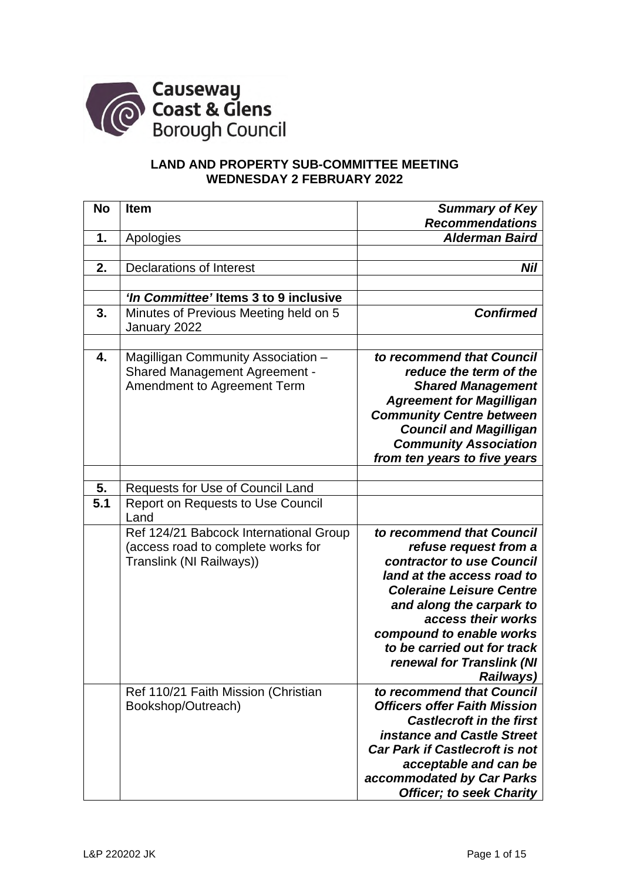

# **LAND AND PROPERTY SUB-COMMITTEE MEETING WEDNESDAY 2 FEBRUARY 2022**

| <b>No</b> | <b>Item</b>                                                                                               | <b>Summary of Key</b>                                                                                                                                                                                                                                                                                   |
|-----------|-----------------------------------------------------------------------------------------------------------|---------------------------------------------------------------------------------------------------------------------------------------------------------------------------------------------------------------------------------------------------------------------------------------------------------|
|           |                                                                                                           | <b>Recommendations</b>                                                                                                                                                                                                                                                                                  |
| 1.        | Apologies                                                                                                 | <b>Alderman Baird</b>                                                                                                                                                                                                                                                                                   |
|           |                                                                                                           |                                                                                                                                                                                                                                                                                                         |
| 2.        | <b>Declarations of Interest</b>                                                                           | Nil                                                                                                                                                                                                                                                                                                     |
|           |                                                                                                           |                                                                                                                                                                                                                                                                                                         |
|           | 'In Committee' Items 3 to 9 inclusive                                                                     |                                                                                                                                                                                                                                                                                                         |
| 3.        | Minutes of Previous Meeting held on 5<br>January 2022                                                     | <b>Confirmed</b>                                                                                                                                                                                                                                                                                        |
| 4.        | Magilligan Community Association -<br><b>Shared Management Agreement -</b><br>Amendment to Agreement Term | to recommend that Council<br>reduce the term of the<br><b>Shared Management</b><br><b>Agreement for Magilligan</b><br><b>Community Centre between</b><br><b>Council and Magilligan</b><br><b>Community Association</b><br>from ten years to five years                                                  |
|           |                                                                                                           |                                                                                                                                                                                                                                                                                                         |
| 5.        | Requests for Use of Council Land                                                                          |                                                                                                                                                                                                                                                                                                         |
| 5.1       | <b>Report on Requests to Use Council</b><br>Land                                                          |                                                                                                                                                                                                                                                                                                         |
|           | Ref 124/21 Babcock International Group<br>(access road to complete works for<br>Translink (NI Railways))  | to recommend that Council<br>refuse request from a<br>contractor to use Council<br>land at the access road to<br><b>Coleraine Leisure Centre</b><br>and along the carpark to<br>access their works<br>compound to enable works<br>to be carried out for track<br>renewal for Translink (NI<br>Railways) |
|           | Ref 110/21 Faith Mission (Christian<br>Bookshop/Outreach)                                                 | to recommend that Council<br><b>Officers offer Faith Mission</b><br><b>Castlecroft in the first</b><br><b>instance and Castle Street</b><br><b>Car Park if Castlecroft is not</b><br>acceptable and can be<br>accommodated by Car Parks<br><b>Officer; to seek Charity</b>                              |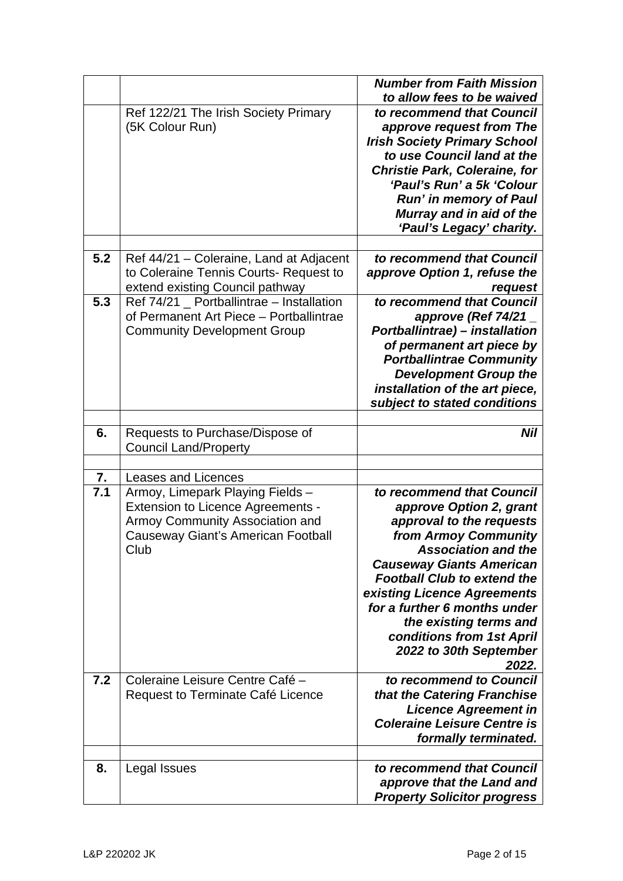|     |                                         | <b>Number from Faith Mission</b>     |
|-----|-----------------------------------------|--------------------------------------|
|     |                                         | to allow fees to be waived           |
|     | Ref 122/21 The Irish Society Primary    | to recommend that Council            |
|     | (5K Colour Run)                         | approve request from The             |
|     |                                         | <b>Irish Society Primary School</b>  |
|     |                                         | to use Council land at the           |
|     |                                         | <b>Christie Park, Coleraine, for</b> |
|     |                                         | 'Paul's Run' a 5k 'Colour            |
|     |                                         | <b>Run' in memory of Paul</b>        |
|     |                                         | Murray and in aid of the             |
|     |                                         | 'Paul's Legacy' charity.             |
|     |                                         |                                      |
| 5.2 | Ref 44/21 – Coleraine, Land at Adjacent | to recommend that Council            |
|     | to Coleraine Tennis Courts- Request to  | approve Option 1, refuse the         |
|     | extend existing Council pathway         | request                              |
| 5.3 | Ref 74/21 Portballintrae - Installation | to recommend that Council            |
|     | of Permanent Art Piece - Portballintrae | approve (Ref 74/21                   |
|     | <b>Community Development Group</b>      | Portballintrae) - installation       |
|     |                                         | of permanent art piece by            |
|     |                                         | <b>Portballintrae Community</b>      |
|     |                                         | <b>Development Group the</b>         |
|     |                                         | installation of the art piece,       |
|     |                                         | subject to stated conditions         |
|     |                                         |                                      |
| 6.  | Requests to Purchase/Dispose of         | Nil                                  |
|     | <b>Council Land/Property</b>            |                                      |
|     |                                         |                                      |
| 7.  | <b>Leases and Licences</b>              |                                      |
| 7.1 | Armoy, Limepark Playing Fields -        | to recommend that Council            |
|     | Extension to Licence Agreements -       | approve Option 2, grant              |
|     | Armoy Community Association and         | approval to the requests             |
|     | Causeway Giant's American Football      | from Armoy Community                 |
|     | Club                                    | <b>Association and the</b>           |
|     |                                         | <b>Causeway Giants American</b>      |
|     |                                         | <b>Football Club to extend the</b>   |
|     |                                         | existing Licence Agreements          |
|     |                                         | for a further 6 months under         |
|     |                                         | the existing terms and               |
|     |                                         | conditions from 1st April            |
|     |                                         | 2022 to 30th September               |
|     |                                         | 2022.                                |
| 7.2 | Coleraine Leisure Centre Café -         | to recommend to Council              |
|     | Request to Terminate Café Licence       | that the Catering Franchise          |
|     |                                         | <b>Licence Agreement in</b>          |
|     |                                         | <b>Coleraine Leisure Centre is</b>   |
|     |                                         | formally terminated.                 |
|     |                                         |                                      |
| 8.  |                                         |                                      |
|     | Legal Issues                            | to recommend that Council            |
|     |                                         | approve that the Land and            |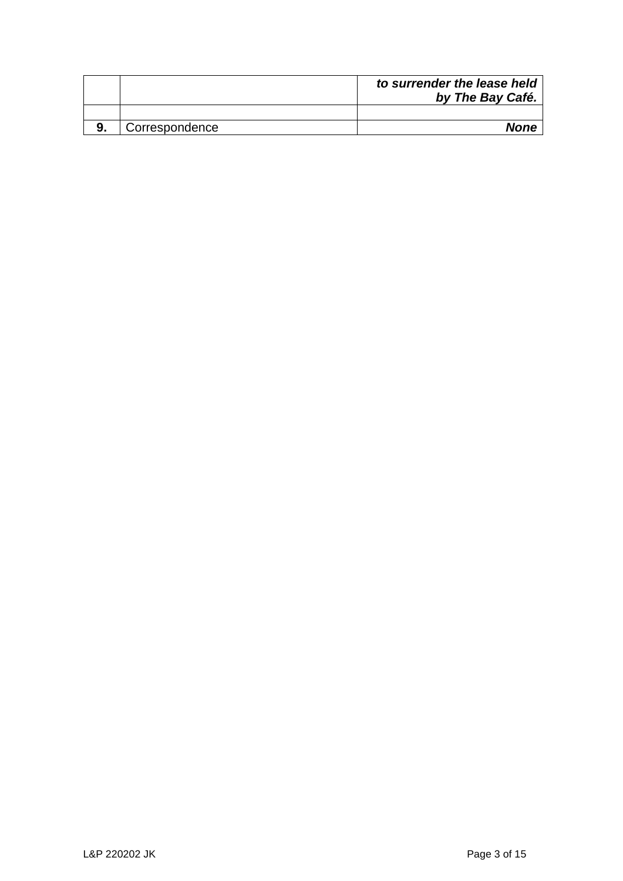|                | to surrender the lease held<br>by The Bay Café. |
|----------------|-------------------------------------------------|
|                |                                                 |
| Correspondence | <b>None</b>                                     |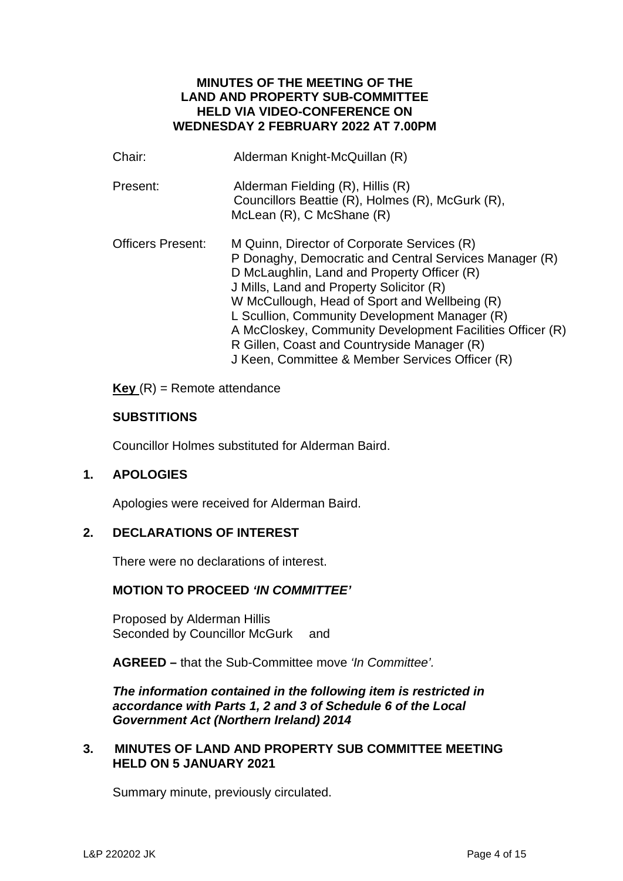# **MINUTES OF THE MEETING OF THE LAND AND PROPERTY SUB-COMMITTEE HELD VIA VIDEO-CONFERENCE ON WEDNESDAY 2 FEBRUARY 2022 AT 7.00PM**

| Chair:                   | Alderman Knight-McQuillan (R)                                                                                                                                                                                                                                                                                                                                                                                                                                     |
|--------------------------|-------------------------------------------------------------------------------------------------------------------------------------------------------------------------------------------------------------------------------------------------------------------------------------------------------------------------------------------------------------------------------------------------------------------------------------------------------------------|
| Present:                 | Alderman Fielding (R), Hillis (R)<br>Councillors Beattie (R), Holmes (R), McGurk (R),<br>McLean $(R)$ , C McShane $(R)$                                                                                                                                                                                                                                                                                                                                           |
| <b>Officers Present:</b> | M Quinn, Director of Corporate Services (R)<br>P Donaghy, Democratic and Central Services Manager (R)<br>D McLaughlin, Land and Property Officer (R)<br>J Mills, Land and Property Solicitor (R)<br>W McCullough, Head of Sport and Wellbeing (R)<br>L Scullion, Community Development Manager (R)<br>A McCloskey, Community Development Facilities Officer (R)<br>R Gillen, Coast and Countryside Manager (R)<br>J Keen, Committee & Member Services Officer (R) |

**Key** (R) = Remote attendance

# **SUBSTITIONS**

Councillor Holmes substituted for Alderman Baird.

# **1. APOLOGIES**

Apologies were received for Alderman Baird.

# **2. DECLARATIONS OF INTEREST**

There were no declarations of interest.

# **MOTION TO PROCEED** *'IN COMMITTEE'*

Proposed by Alderman Hillis Seconded by Councillor McGurk and

**AGREED –** that the Sub-Committee move *'In Committee'.*

*The information contained in the following item is restricted in accordance with Parts 1, 2 and 3 of Schedule 6 of the Local Government Act (Northern Ireland) 2014* 

# **3. MINUTES OF LAND AND PROPERTY SUB COMMITTEE MEETING HELD ON 5 JANUARY 2021**

Summary minute, previously circulated.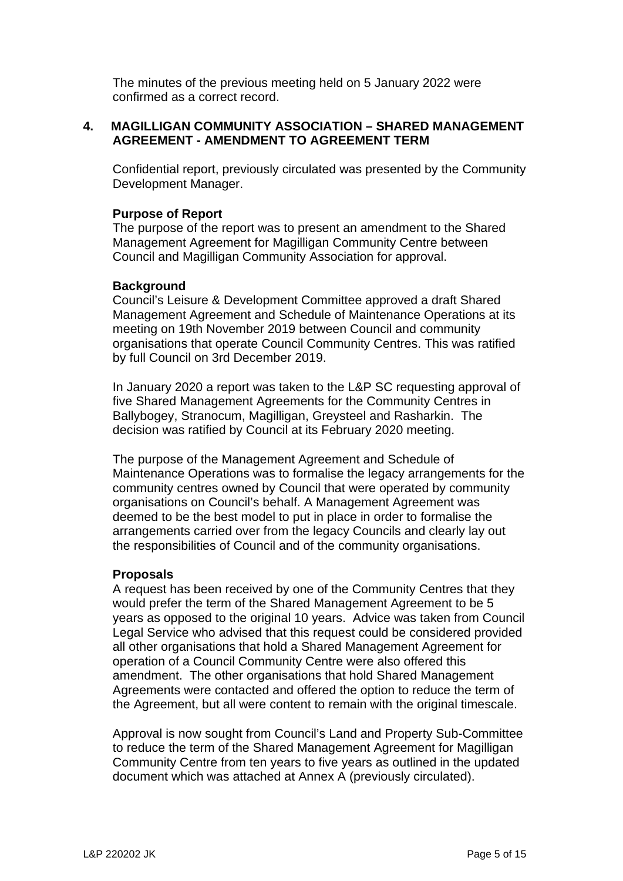The minutes of the previous meeting held on 5 January 2022 were confirmed as a correct record.

# **4. MAGILLIGAN COMMUNITY ASSOCIATION – SHARED MANAGEMENT AGREEMENT - AMENDMENT TO AGREEMENT TERM**

Confidential report, previously circulated was presented by the Community Development Manager.

# **Purpose of Report**

The purpose of the report was to present an amendment to the Shared Management Agreement for Magilligan Community Centre between Council and Magilligan Community Association for approval.

#### **Background**

Council's Leisure & Development Committee approved a draft Shared Management Agreement and Schedule of Maintenance Operations at its meeting on 19th November 2019 between Council and community organisations that operate Council Community Centres. This was ratified by full Council on 3rd December 2019.

In January 2020 a report was taken to the L&P SC requesting approval of five Shared Management Agreements for the Community Centres in Ballybogey, Stranocum, Magilligan, Greysteel and Rasharkin. The decision was ratified by Council at its February 2020 meeting.

The purpose of the Management Agreement and Schedule of Maintenance Operations was to formalise the legacy arrangements for the community centres owned by Council that were operated by community organisations on Council's behalf. A Management Agreement was deemed to be the best model to put in place in order to formalise the arrangements carried over from the legacy Councils and clearly lay out the responsibilities of Council and of the community organisations.

#### **Proposals**

A request has been received by one of the Community Centres that they would prefer the term of the Shared Management Agreement to be 5 years as opposed to the original 10 years. Advice was taken from Council Legal Service who advised that this request could be considered provided all other organisations that hold a Shared Management Agreement for operation of a Council Community Centre were also offered this amendment. The other organisations that hold Shared Management Agreements were contacted and offered the option to reduce the term of the Agreement, but all were content to remain with the original timescale.

Approval is now sought from Council's Land and Property Sub-Committee to reduce the term of the Shared Management Agreement for Magilligan Community Centre from ten years to five years as outlined in the updated document which was attached at Annex A (previously circulated).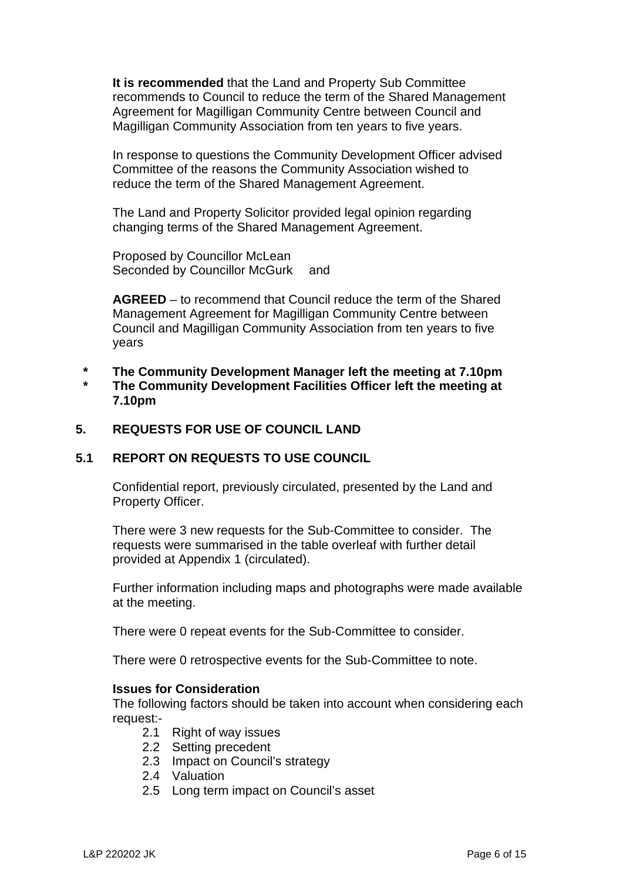**It is recommended** that the Land and Property Sub Committee recommends to Council to reduce the term of the Shared Management Agreement for Magilligan Community Centre between Council and Magilligan Community Association from ten years to five years.

In response to questions the Community Development Officer advised Committee of the reasons the Community Association wished to reduce the term of the Shared Management Agreement.

The Land and Property Solicitor provided legal opinion regarding changing terms of the Shared Management Agreement.

Proposed by Councillor McLean Seconded by Councillor McGurk and

**AGREED** – to recommend that Council reduce the term of the Shared Management Agreement for Magilligan Community Centre between Council and Magilligan Community Association from ten years to five years

- **\* The Community Development Manager left the meeting at 7.10pm**
- **\* The Community Development Facilities Officer left the meeting at 7.10pm**

# **5. REQUESTS FOR USE OF COUNCIL LAND**

#### **5.1 REPORT ON REQUESTS TO USE COUNCIL**

Confidential report, previously circulated, presented by the Land and Property Officer.

There were 3 new requests for the Sub-Committee to consider. The requests were summarised in the table overleaf with further detail provided at Appendix 1 (circulated).

Further information including maps and photographs were made available at the meeting.

There were 0 repeat events for the Sub-Committee to consider.

There were 0 retrospective events for the Sub-Committee to note.

#### **Issues for Consideration**

The following factors should be taken into account when considering each request:-

- 2.1 Right of way issues
- 2.2 Setting precedent
- 2.3 Impact on Council's strategy
- 2.4 Valuation
- 2.5 Long term impact on Council's asset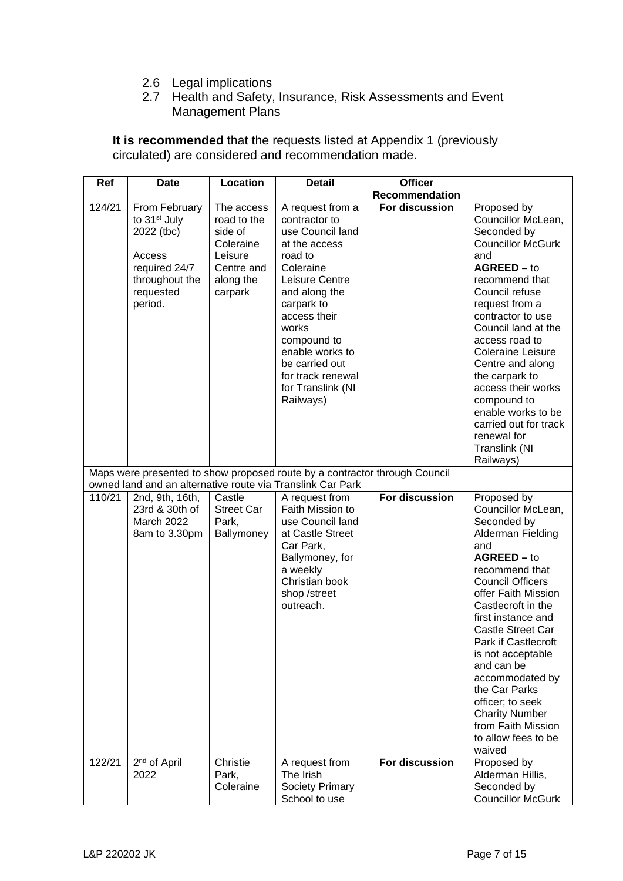- 2.6 Legal implications
- 2.7 Health and Safety, Insurance, Risk Assessments and Event Management Plans

**It is recommended** that the requests listed at Appendix 1 (previously circulated) are considered and recommendation made.

| Ref    | <b>Date</b>                                                                                                                  | <b>Location</b>                                                                                    | Detail                                                                                                                                                                                                                                                                              | <b>Officer</b> |                                                                                                                                                                                                                                                                                                                                                                                                                                             |
|--------|------------------------------------------------------------------------------------------------------------------------------|----------------------------------------------------------------------------------------------------|-------------------------------------------------------------------------------------------------------------------------------------------------------------------------------------------------------------------------------------------------------------------------------------|----------------|---------------------------------------------------------------------------------------------------------------------------------------------------------------------------------------------------------------------------------------------------------------------------------------------------------------------------------------------------------------------------------------------------------------------------------------------|
|        |                                                                                                                              |                                                                                                    |                                                                                                                                                                                                                                                                                     | Recommendation |                                                                                                                                                                                                                                                                                                                                                                                                                                             |
| 124/21 | From February<br>to 31 <sup>st</sup> July<br>2022 (tbc)<br>Access<br>required 24/7<br>throughout the<br>requested<br>period. | The access<br>road to the<br>side of<br>Coleraine<br>Leisure<br>Centre and<br>along the<br>carpark | A request from a<br>contractor to<br>use Council land<br>at the access<br>road to<br>Coleraine<br>Leisure Centre<br>and along the<br>carpark to<br>access their<br>works<br>compound to<br>enable works to<br>be carried out<br>for track renewal<br>for Translink (NI<br>Railways) | For discussion | Proposed by<br>Councillor McLean,<br>Seconded by<br><b>Councillor McGurk</b><br>and<br>AGREED - to<br>recommend that<br>Council refuse<br>request from a<br>contractor to use<br>Council land at the<br>access road to<br>Coleraine Leisure<br>Centre and along<br>the carpark to<br>access their works<br>compound to<br>enable works to be<br>carried out for track<br>renewal for<br>Translink (NI<br>Railways)                          |
|        |                                                                                                                              |                                                                                                    | Maps were presented to show proposed route by a contractor through Council<br>owned land and an alternative route via Translink Car Park                                                                                                                                            |                |                                                                                                                                                                                                                                                                                                                                                                                                                                             |
| 110/21 | 2nd, 9th, 16th,<br>23rd & 30th of<br>March 2022<br>8am to 3.30pm                                                             | Castle<br><b>Street Car</b><br>Park,<br>Ballymoney                                                 | A request from<br>Faith Mission to<br>use Council land<br>at Castle Street<br>Car Park,<br>Ballymoney, for<br>a weekly<br>Christian book<br>shop /street<br>outreach.                                                                                                               | For discussion | Proposed by<br>Councillor McLean,<br>Seconded by<br>Alderman Fielding<br>and<br>$AGREED - to$<br>recommend that<br><b>Council Officers</b><br>offer Faith Mission<br>Castlecroft in the<br>first instance and<br><b>Castle Street Car</b><br>Park if Castlecroft<br>is not acceptable<br>and can be<br>accommodated by<br>the Car Parks<br>officer; to seek<br><b>Charity Number</b><br>from Faith Mission<br>to allow fees to be<br>waived |
| 122/21 | 2 <sup>nd</sup> of April<br>2022                                                                                             | Christie<br>Park,<br>Coleraine                                                                     | A request from<br>The Irish<br><b>Society Primary</b><br>School to use                                                                                                                                                                                                              | For discussion | Proposed by<br>Alderman Hillis,<br>Seconded by<br><b>Councillor McGurk</b>                                                                                                                                                                                                                                                                                                                                                                  |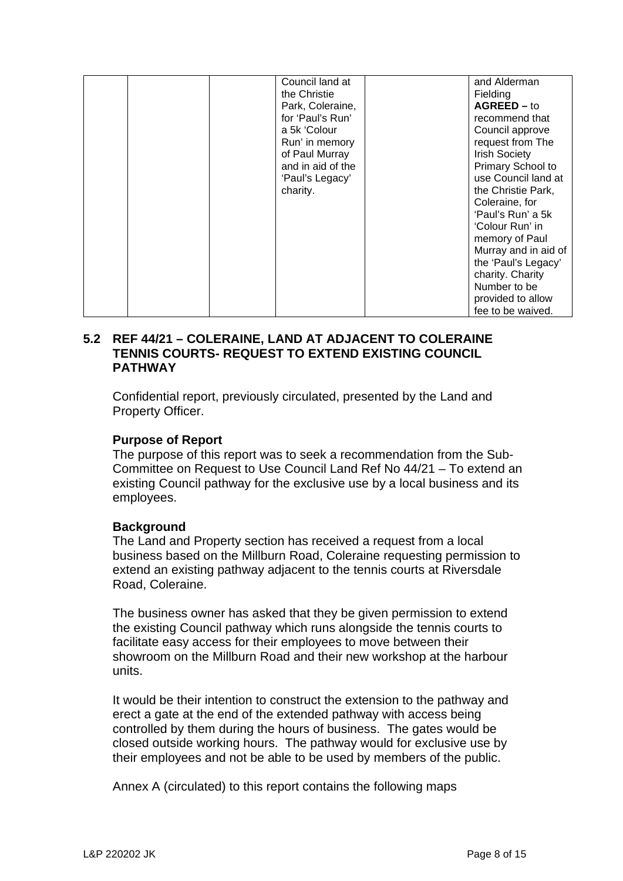|  | Council land at   | and Alderman             |
|--|-------------------|--------------------------|
|  | the Christie      | Fielding                 |
|  | Park, Coleraine,  | $AGREED - to$            |
|  | for 'Paul's Run'  | recommend that           |
|  | a 5k 'Colour      | Council approve          |
|  | Run' in memory    | request from The         |
|  | of Paul Murray    | <b>Irish Society</b>     |
|  | and in aid of the | <b>Primary School to</b> |
|  | 'Paul's Legacy'   | use Council land at      |
|  | charity.          | the Christie Park,       |
|  |                   | Coleraine, for           |
|  |                   | 'Paul's Run' a 5k        |
|  |                   | 'Colour Run' in          |
|  |                   | memory of Paul           |
|  |                   | Murray and in aid of     |
|  |                   | the 'Paul's Legacy'      |
|  |                   | charity. Charity         |
|  |                   | Number to be             |
|  |                   | provided to allow        |
|  |                   | fee to be waived.        |

### **5.2 REF 44/21 – COLERAINE, LAND AT ADJACENT TO COLERAINE TENNIS COURTS- REQUEST TO EXTEND EXISTING COUNCIL PATHWAY**

Confidential report, previously circulated, presented by the Land and Property Officer.

# **Purpose of Report**

The purpose of this report was to seek a recommendation from the Sub-Committee on Request to Use Council Land Ref No 44/21 – To extend an existing Council pathway for the exclusive use by a local business and its employees.

# **Background**

The Land and Property section has received a request from a local business based on the Millburn Road, Coleraine requesting permission to extend an existing pathway adjacent to the tennis courts at Riversdale Road, Coleraine.

The business owner has asked that they be given permission to extend the existing Council pathway which runs alongside the tennis courts to facilitate easy access for their employees to move between their showroom on the Millburn Road and their new workshop at the harbour units.

It would be their intention to construct the extension to the pathway and erect a gate at the end of the extended pathway with access being controlled by them during the hours of business. The gates would be closed outside working hours. The pathway would for exclusive use by their employees and not be able to be used by members of the public.

Annex A (circulated) to this report contains the following maps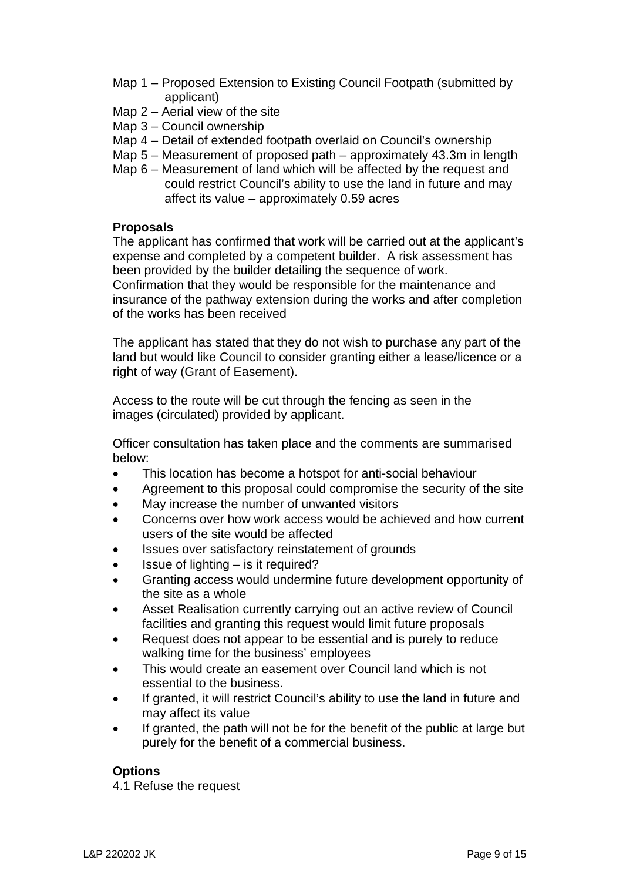- Map 1 Proposed Extension to Existing Council Footpath (submitted by applicant)
- Map 2 Aerial view of the site
- Map 3 Council ownership
- Map 4 Detail of extended footpath overlaid on Council's ownership
- Map 5 Measurement of proposed path approximately 43.3m in length
- Map 6 Measurement of land which will be affected by the request and could restrict Council's ability to use the land in future and may affect its value – approximately 0.59 acres

# **Proposals**

The applicant has confirmed that work will be carried out at the applicant's expense and completed by a competent builder. A risk assessment has been provided by the builder detailing the sequence of work. Confirmation that they would be responsible for the maintenance and insurance of the pathway extension during the works and after completion of the works has been received

The applicant has stated that they do not wish to purchase any part of the land but would like Council to consider granting either a lease/licence or a right of way (Grant of Easement).

Access to the route will be cut through the fencing as seen in the images (circulated) provided by applicant.

Officer consultation has taken place and the comments are summarised below:

- This location has become a hotspot for anti-social behaviour
- Agreement to this proposal could compromise the security of the site
- May increase the number of unwanted visitors
- Concerns over how work access would be achieved and how current users of the site would be affected
- Issues over satisfactory reinstatement of grounds
- Issue of lighting is it required?
- Granting access would undermine future development opportunity of the site as a whole
- Asset Realisation currently carrying out an active review of Council facilities and granting this request would limit future proposals
- Request does not appear to be essential and is purely to reduce walking time for the business' employees
- This would create an easement over Council land which is not essential to the business.
- If granted, it will restrict Council's ability to use the land in future and may affect its value
- If granted, the path will not be for the benefit of the public at large but purely for the benefit of a commercial business.

# **Options**

4.1 Refuse the request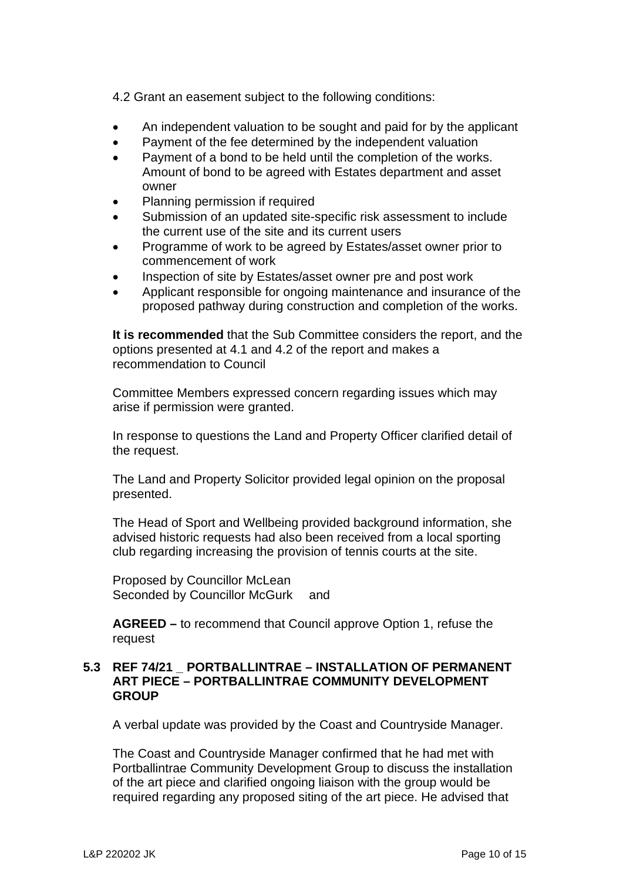4.2 Grant an easement subject to the following conditions:

- An independent valuation to be sought and paid for by the applicant
- Payment of the fee determined by the independent valuation
- Payment of a bond to be held until the completion of the works. Amount of bond to be agreed with Estates department and asset owner
- Planning permission if required
- Submission of an updated site-specific risk assessment to include the current use of the site and its current users
- Programme of work to be agreed by Estates/asset owner prior to commencement of work
- Inspection of site by Estates/asset owner pre and post work
- Applicant responsible for ongoing maintenance and insurance of the proposed pathway during construction and completion of the works.

**It is recommended** that the Sub Committee considers the report, and the options presented at 4.1 and 4.2 of the report and makes a recommendation to Council

Committee Members expressed concern regarding issues which may arise if permission were granted.

In response to questions the Land and Property Officer clarified detail of the request.

The Land and Property Solicitor provided legal opinion on the proposal presented.

The Head of Sport and Wellbeing provided background information, she advised historic requests had also been received from a local sporting club regarding increasing the provision of tennis courts at the site.

Proposed by Councillor McLean Seconded by Councillor McGurk and

**AGREED –** to recommend that Council approve Option 1, refuse the request

### **5.3 REF 74/21 \_ PORTBALLINTRAE – INSTALLATION OF PERMANENT ART PIECE – PORTBALLINTRAE COMMUNITY DEVELOPMENT GROUP**

A verbal update was provided by the Coast and Countryside Manager.

The Coast and Countryside Manager confirmed that he had met with Portballintrae Community Development Group to discuss the installation of the art piece and clarified ongoing liaison with the group would be required regarding any proposed siting of the art piece. He advised that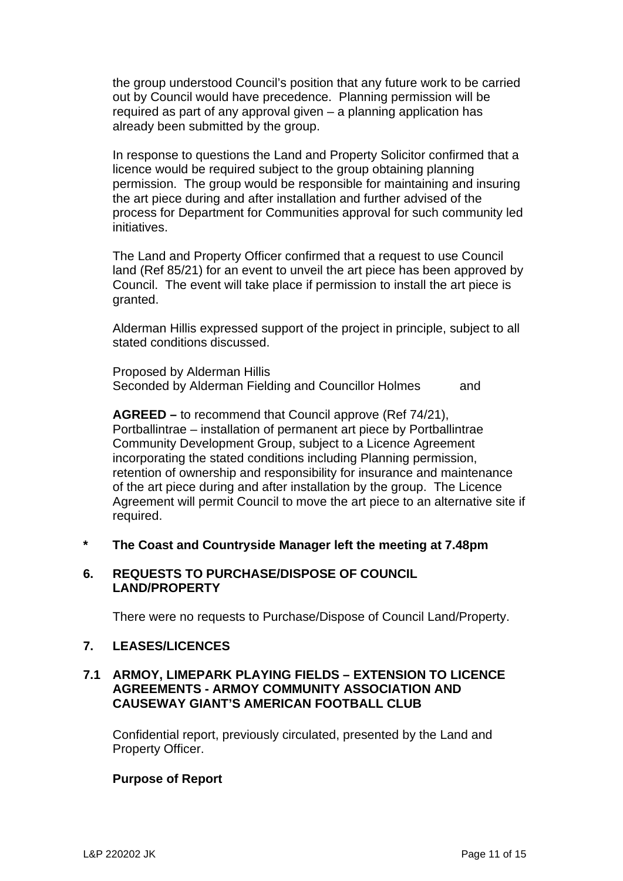the group understood Council's position that any future work to be carried out by Council would have precedence. Planning permission will be required as part of any approval given – a planning application has already been submitted by the group.

In response to questions the Land and Property Solicitor confirmed that a licence would be required subject to the group obtaining planning permission. The group would be responsible for maintaining and insuring the art piece during and after installation and further advised of the process for Department for Communities approval for such community led initiatives.

The Land and Property Officer confirmed that a request to use Council land (Ref 85/21) for an event to unveil the art piece has been approved by Council. The event will take place if permission to install the art piece is granted.

Alderman Hillis expressed support of the project in principle, subject to all stated conditions discussed.

Proposed by Alderman Hillis Seconded by Alderman Fielding and Councillor Holmes and

**AGREED –** to recommend that Council approve (Ref 74/21), Portballintrae – installation of permanent art piece by Portballintrae Community Development Group, subject to a Licence Agreement incorporating the stated conditions including Planning permission, retention of ownership and responsibility for insurance and maintenance of the art piece during and after installation by the group. The Licence Agreement will permit Council to move the art piece to an alternative site if required.

**\* The Coast and Countryside Manager left the meeting at 7.48pm**

### **6. REQUESTS TO PURCHASE/DISPOSE OF COUNCIL LAND/PROPERTY**

There were no requests to Purchase/Dispose of Council Land/Property.

# **7. LEASES/LICENCES**

# **7.1 ARMOY, LIMEPARK PLAYING FIELDS – EXTENSION TO LICENCE AGREEMENTS - ARMOY COMMUNITY ASSOCIATION AND CAUSEWAY GIANT'S AMERICAN FOOTBALL CLUB**

Confidential report, previously circulated, presented by the Land and Property Officer.

# **Purpose of Report**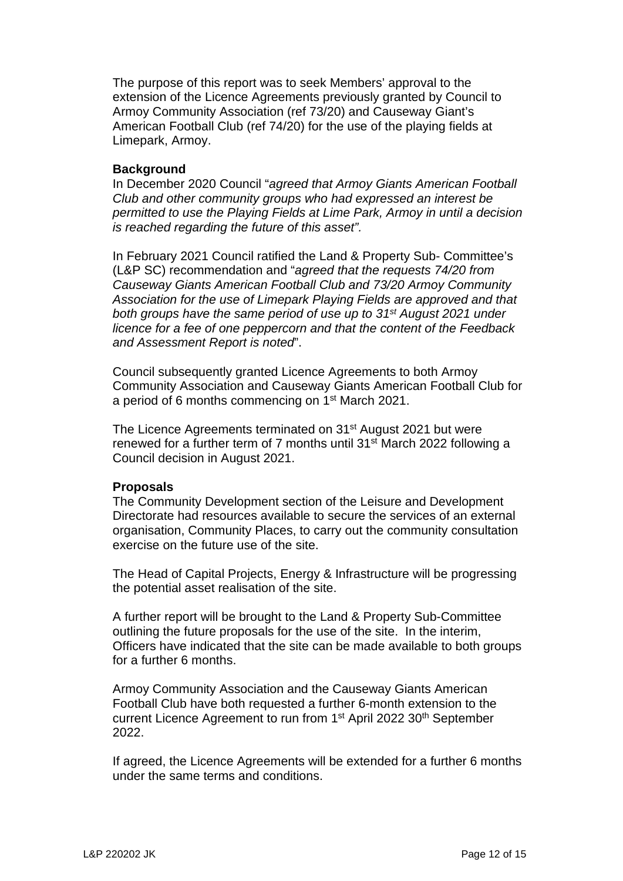The purpose of this report was to seek Members' approval to the extension of the Licence Agreements previously granted by Council to Armoy Community Association (ref 73/20) and Causeway Giant's American Football Club (ref 74/20) for the use of the playing fields at Limepark, Armoy.

### **Background**

In December 2020 Council "*agreed that Armoy Giants American Football Club and other community groups who had expressed an interest be permitted to use the Playing Fields at Lime Park, Armoy in until a decision is reached regarding the future of this asset".*

In February 2021 Council ratified the Land & Property Sub- Committee's (L&P SC) recommendation and "*agreed that the requests 74/20 from Causeway Giants American Football Club and 73/20 Armoy Community Association for the use of Limepark Playing Fields are approved and that both groups have the same period of use up to 31st August 2021 under licence for a fee of one peppercorn and that the content of the Feedback and Assessment Report is noted*".

Council subsequently granted Licence Agreements to both Armoy Community Association and Causeway Giants American Football Club for a period of 6 months commencing on 1<sup>st</sup> March 2021.

The Licence Agreements terminated on 31<sup>st</sup> August 2021 but were renewed for a further term of 7 months until 31<sup>st</sup> March 2022 following a Council decision in August 2021.

#### **Proposals**

The Community Development section of the Leisure and Development Directorate had resources available to secure the services of an external organisation, Community Places, to carry out the community consultation exercise on the future use of the site.

The Head of Capital Projects, Energy & Infrastructure will be progressing the potential asset realisation of the site.

A further report will be brought to the Land & Property Sub-Committee outlining the future proposals for the use of the site. In the interim, Officers have indicated that the site can be made available to both groups for a further 6 months.

Armoy Community Association and the Causeway Giants American Football Club have both requested a further 6-month extension to the current Licence Agreement to run from 1<sup>st</sup> April 2022 30<sup>th</sup> September 2022.

If agreed, the Licence Agreements will be extended for a further 6 months under the same terms and conditions.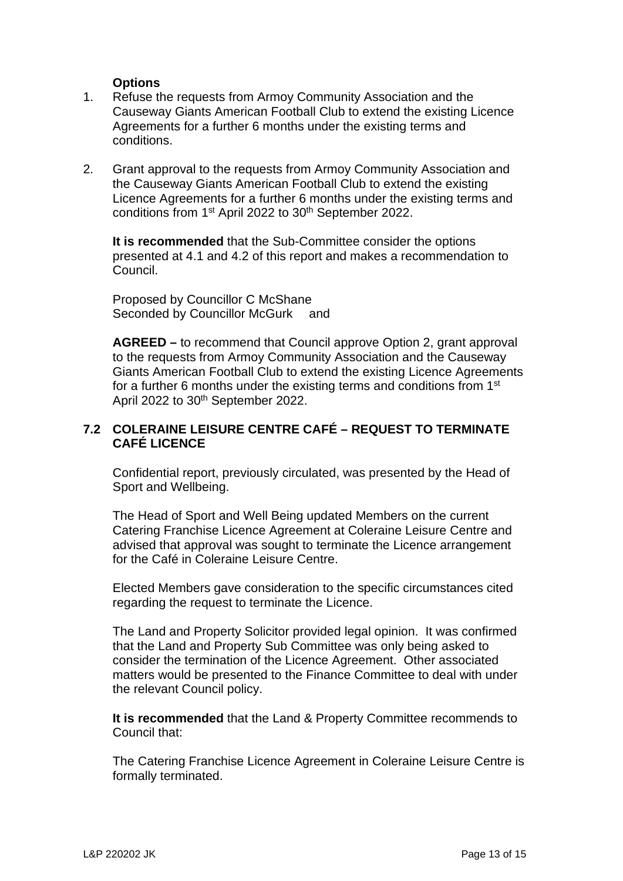### **Options**

- 1. Refuse the requests from Armoy Community Association and the Causeway Giants American Football Club to extend the existing Licence Agreements for a further 6 months under the existing terms and conditions.
- 2. Grant approval to the requests from Armoy Community Association and the Causeway Giants American Football Club to extend the existing Licence Agreements for a further 6 months under the existing terms and conditions from 1<sup>st</sup> April 2022 to 30<sup>th</sup> September 2022.

**It is recommended** that the Sub-Committee consider the options presented at 4.1 and 4.2 of this report and makes a recommendation to Council.

Proposed by Councillor C McShane Seconded by Councillor McGurk and

**AGREED –** to recommend that Council approve Option 2, grant approval to the requests from Armoy Community Association and the Causeway Giants American Football Club to extend the existing Licence Agreements for a further 6 months under the existing terms and conditions from 1st April 2022 to 30<sup>th</sup> September 2022.

# **7.2 COLERAINE LEISURE CENTRE CAFÉ – REQUEST TO TERMINATE CAFÉ LICENCE**

Confidential report, previously circulated, was presented by the Head of Sport and Wellbeing.

The Head of Sport and Well Being updated Members on the current Catering Franchise Licence Agreement at Coleraine Leisure Centre and advised that approval was sought to terminate the Licence arrangement for the Café in Coleraine Leisure Centre

Elected Members gave consideration to the specific circumstances cited regarding the request to terminate the Licence.

The Land and Property Solicitor provided legal opinion. It was confirmed that the Land and Property Sub Committee was only being asked to consider the termination of the Licence Agreement. Other associated matters would be presented to the Finance Committee to deal with under the relevant Council policy.

**It is recommended** that the Land & Property Committee recommends to Council that:

The Catering Franchise Licence Agreement in Coleraine Leisure Centre is formally terminated.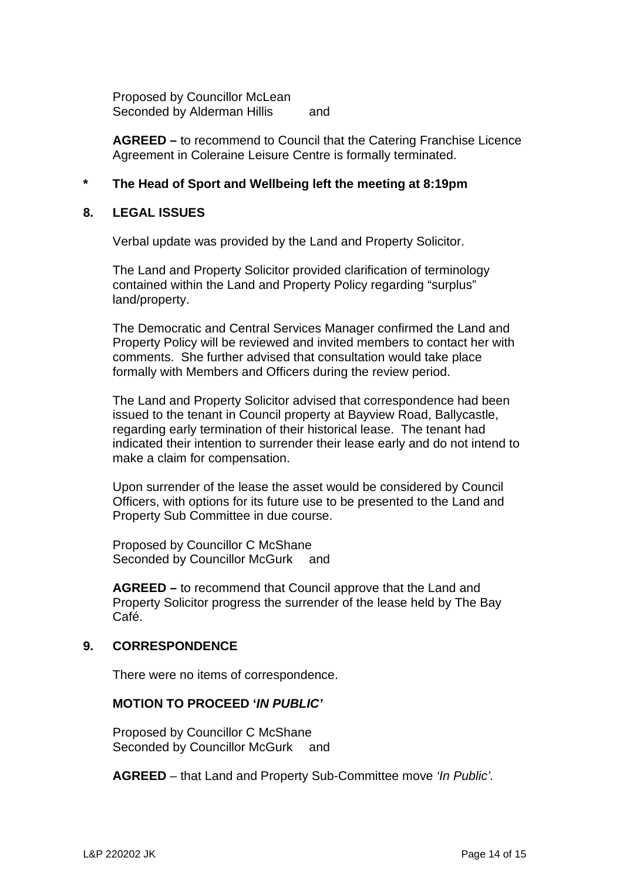Proposed by Councillor McLean Seconded by Alderman Hillis and

**AGREED –** to recommend to Council that the Catering Franchise Licence Agreement in Coleraine Leisure Centre is formally terminated.

# **\* The Head of Sport and Wellbeing left the meeting at 8:19pm**

### **8. LEGAL ISSUES**

Verbal update was provided by the Land and Property Solicitor.

The Land and Property Solicitor provided clarification of terminology contained within the Land and Property Policy regarding "surplus" land/property.

The Democratic and Central Services Manager confirmed the Land and Property Policy will be reviewed and invited members to contact her with comments. She further advised that consultation would take place formally with Members and Officers during the review period.

The Land and Property Solicitor advised that correspondence had been issued to the tenant in Council property at Bayview Road, Ballycastle, regarding early termination of their historical lease. The tenant had indicated their intention to surrender their lease early and do not intend to make a claim for compensation.

Upon surrender of the lease the asset would be considered by Council Officers, with options for its future use to be presented to the Land and Property Sub Committee in due course.

Proposed by Councillor C McShane Seconded by Councillor McGurk and

**AGREED –** to recommend that Council approve that the Land and Property Solicitor progress the surrender of the lease held by The Bay Café.

#### **9. CORRESPONDENCE**

There were no items of correspondence.

# **MOTION TO PROCEED '***IN PUBLIC'*

Proposed by Councillor C McShane Seconded by Councillor McGurk and

**AGREED** – that Land and Property Sub-Committee move *'In Public'.*